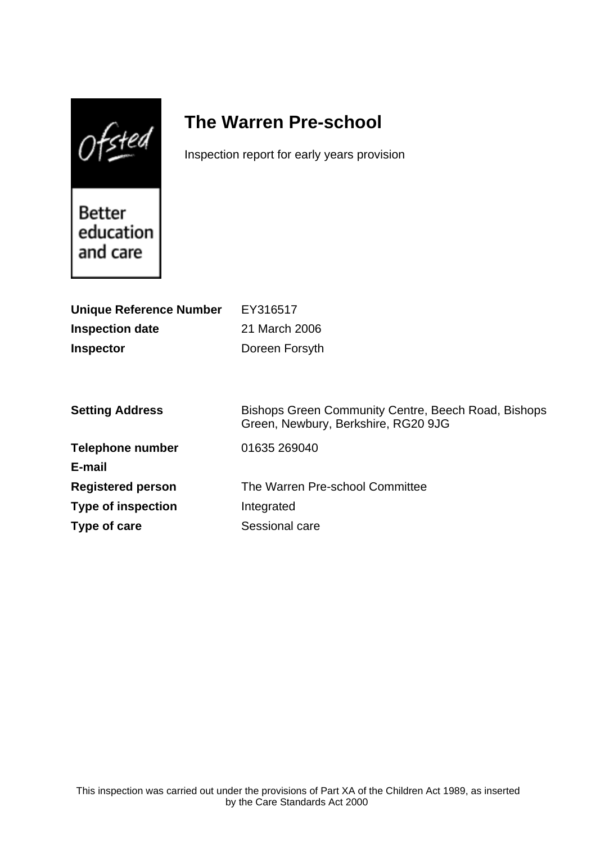$0$ fsted

# **The Warren Pre-school**

Inspection report for early years provision

**Better** education and care

| <b>Unique Reference Number</b><br><b>Inspection date</b><br><b>Inspector</b> | EY316517<br>21 March 2006<br>Doreen Forsyth                                                |
|------------------------------------------------------------------------------|--------------------------------------------------------------------------------------------|
| <b>Setting Address</b>                                                       | Bishops Green Community Centre, Beech Road, Bishops<br>Green, Newbury, Berkshire, RG20 9JG |
| <b>Telephone number</b>                                                      | 01635 269040                                                                               |
| E-mail                                                                       |                                                                                            |
| <b>Registered person</b>                                                     | The Warren Pre-school Committee                                                            |
| <b>Type of inspection</b>                                                    | Integrated                                                                                 |
| Type of care                                                                 | Sessional care                                                                             |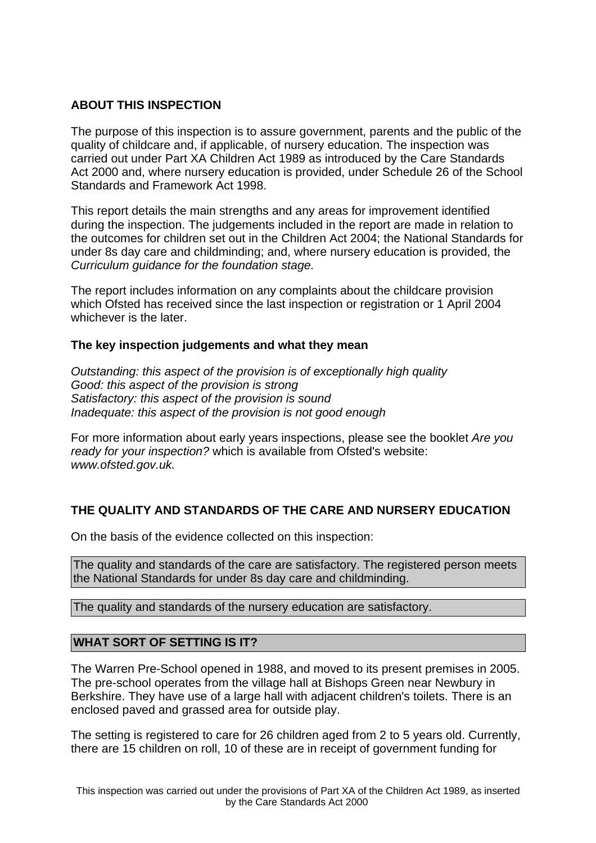## **ABOUT THIS INSPECTION**

The purpose of this inspection is to assure government, parents and the public of the quality of childcare and, if applicable, of nursery education. The inspection was carried out under Part XA Children Act 1989 as introduced by the Care Standards Act 2000 and, where nursery education is provided, under Schedule 26 of the School Standards and Framework Act 1998.

This report details the main strengths and any areas for improvement identified during the inspection. The judgements included in the report are made in relation to the outcomes for children set out in the Children Act 2004; the National Standards for under 8s day care and childminding; and, where nursery education is provided, the Curriculum guidance for the foundation stage.

The report includes information on any complaints about the childcare provision which Ofsted has received since the last inspection or registration or 1 April 2004 whichever is the later.

## **The key inspection judgements and what they mean**

Outstanding: this aspect of the provision is of exceptionally high quality Good: this aspect of the provision is strong Satisfactory: this aspect of the provision is sound Inadequate: this aspect of the provision is not good enough

For more information about early years inspections, please see the booklet Are you ready for your inspection? which is available from Ofsted's website: www.ofsted.gov.uk.

# **THE QUALITY AND STANDARDS OF THE CARE AND NURSERY EDUCATION**

On the basis of the evidence collected on this inspection:

The quality and standards of the care are satisfactory. The registered person meets the National Standards for under 8s day care and childminding.

The quality and standards of the nursery education are satisfactory.

## **WHAT SORT OF SETTING IS IT?**

The Warren Pre-School opened in 1988, and moved to its present premises in 2005. The pre-school operates from the village hall at Bishops Green near Newbury in Berkshire. They have use of a large hall with adjacent children's toilets. There is an enclosed paved and grassed area for outside play.

The setting is registered to care for 26 children aged from 2 to 5 years old. Currently, there are 15 children on roll, 10 of these are in receipt of government funding for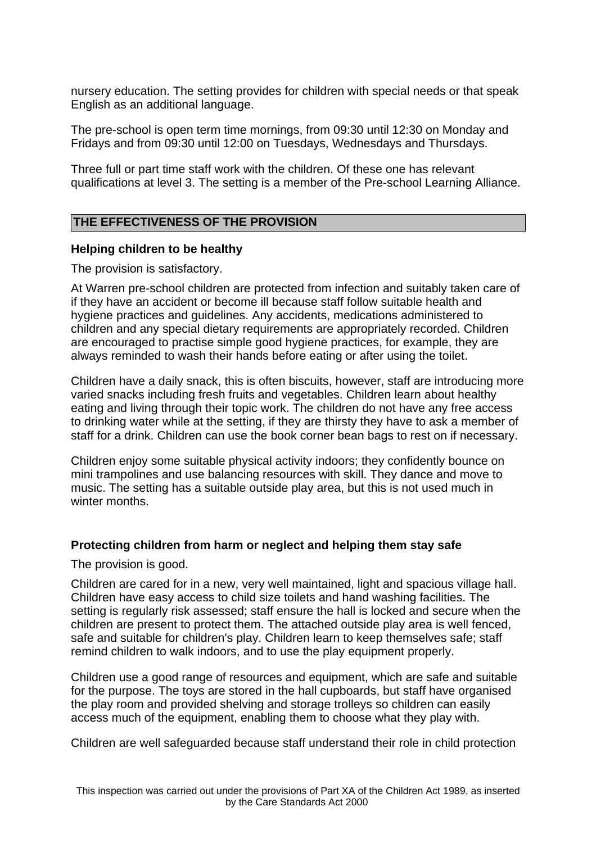nursery education. The setting provides for children with special needs or that speak English as an additional language.

The pre-school is open term time mornings, from 09:30 until 12:30 on Monday and Fridays and from 09:30 until 12:00 on Tuesdays, Wednesdays and Thursdays.

Three full or part time staff work with the children. Of these one has relevant qualifications at level 3. The setting is a member of the Pre-school Learning Alliance.

# **THE EFFECTIVENESS OF THE PROVISION**

## **Helping children to be healthy**

The provision is satisfactory.

At Warren pre-school children are protected from infection and suitably taken care of if they have an accident or become ill because staff follow suitable health and hygiene practices and guidelines. Any accidents, medications administered to children and any special dietary requirements are appropriately recorded. Children are encouraged to practise simple good hygiene practices, for example, they are always reminded to wash their hands before eating or after using the toilet.

Children have a daily snack, this is often biscuits, however, staff are introducing more varied snacks including fresh fruits and vegetables. Children learn about healthy eating and living through their topic work. The children do not have any free access to drinking water while at the setting, if they are thirsty they have to ask a member of staff for a drink. Children can use the book corner bean bags to rest on if necessary.

Children enjoy some suitable physical activity indoors; they confidently bounce on mini trampolines and use balancing resources with skill. They dance and move to music. The setting has a suitable outside play area, but this is not used much in winter months.

#### **Protecting children from harm or neglect and helping them stay safe**

The provision is good.

Children are cared for in a new, very well maintained, light and spacious village hall. Children have easy access to child size toilets and hand washing facilities. The setting is regularly risk assessed; staff ensure the hall is locked and secure when the children are present to protect them. The attached outside play area is well fenced, safe and suitable for children's play. Children learn to keep themselves safe; staff remind children to walk indoors, and to use the play equipment properly.

Children use a good range of resources and equipment, which are safe and suitable for the purpose. The toys are stored in the hall cupboards, but staff have organised the play room and provided shelving and storage trolleys so children can easily access much of the equipment, enabling them to choose what they play with.

Children are well safeguarded because staff understand their role in child protection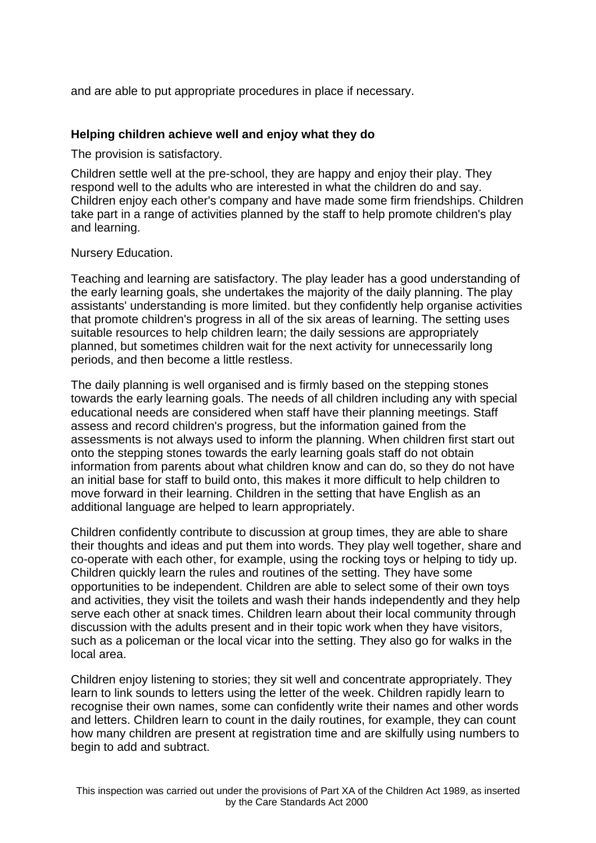and are able to put appropriate procedures in place if necessary.

### **Helping children achieve well and enjoy what they do**

The provision is satisfactory.

Children settle well at the pre-school, they are happy and enjoy their play. They respond well to the adults who are interested in what the children do and say. Children enjoy each other's company and have made some firm friendships. Children take part in a range of activities planned by the staff to help promote children's play and learning.

#### Nursery Education.

Teaching and learning are satisfactory. The play leader has a good understanding of the early learning goals, she undertakes the majority of the daily planning. The play assistants' understanding is more limited. but they confidently help organise activities that promote children's progress in all of the six areas of learning. The setting uses suitable resources to help children learn; the daily sessions are appropriately planned, but sometimes children wait for the next activity for unnecessarily long periods, and then become a little restless.

The daily planning is well organised and is firmly based on the stepping stones towards the early learning goals. The needs of all children including any with special educational needs are considered when staff have their planning meetings. Staff assess and record children's progress, but the information gained from the assessments is not always used to inform the planning. When children first start out onto the stepping stones towards the early learning goals staff do not obtain information from parents about what children know and can do, so they do not have an initial base for staff to build onto, this makes it more difficult to help children to move forward in their learning. Children in the setting that have English as an additional language are helped to learn appropriately.

Children confidently contribute to discussion at group times, they are able to share their thoughts and ideas and put them into words. They play well together, share and co-operate with each other, for example, using the rocking toys or helping to tidy up. Children quickly learn the rules and routines of the setting. They have some opportunities to be independent. Children are able to select some of their own toys and activities, they visit the toilets and wash their hands independently and they help serve each other at snack times. Children learn about their local community through discussion with the adults present and in their topic work when they have visitors, such as a policeman or the local vicar into the setting. They also go for walks in the local area.

Children enjoy listening to stories; they sit well and concentrate appropriately. They learn to link sounds to letters using the letter of the week. Children rapidly learn to recognise their own names, some can confidently write their names and other words and letters. Children learn to count in the daily routines, for example, they can count how many children are present at registration time and are skilfully using numbers to begin to add and subtract.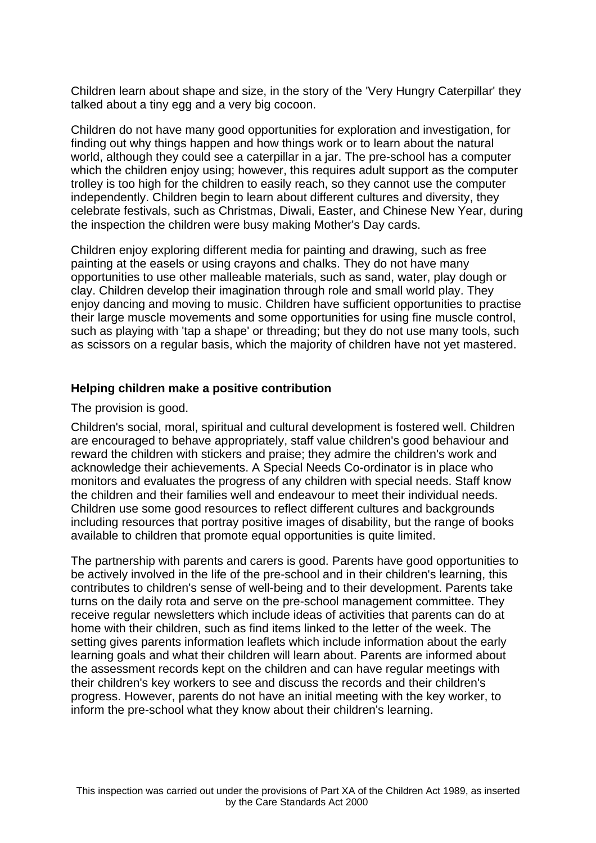Children learn about shape and size, in the story of the 'Very Hungry Caterpillar' they talked about a tiny egg and a very big cocoon.

Children do not have many good opportunities for exploration and investigation, for finding out why things happen and how things work or to learn about the natural world, although they could see a caterpillar in a jar. The pre-school has a computer which the children enjoy using; however, this requires adult support as the computer trolley is too high for the children to easily reach, so they cannot use the computer independently. Children begin to learn about different cultures and diversity, they celebrate festivals, such as Christmas, Diwali, Easter, and Chinese New Year, during the inspection the children were busy making Mother's Day cards.

Children enjoy exploring different media for painting and drawing, such as free painting at the easels or using crayons and chalks. They do not have many opportunities to use other malleable materials, such as sand, water, play dough or clay. Children develop their imagination through role and small world play. They enjoy dancing and moving to music. Children have sufficient opportunities to practise their large muscle movements and some opportunities for using fine muscle control, such as playing with 'tap a shape' or threading; but they do not use many tools, such as scissors on a regular basis, which the majority of children have not yet mastered.

#### **Helping children make a positive contribution**

The provision is good.

Children's social, moral, spiritual and cultural development is fostered well. Children are encouraged to behave appropriately, staff value children's good behaviour and reward the children with stickers and praise; they admire the children's work and acknowledge their achievements. A Special Needs Co-ordinator is in place who monitors and evaluates the progress of any children with special needs. Staff know the children and their families well and endeavour to meet their individual needs. Children use some good resources to reflect different cultures and backgrounds including resources that portray positive images of disability, but the range of books available to children that promote equal opportunities is quite limited.

The partnership with parents and carers is good. Parents have good opportunities to be actively involved in the life of the pre-school and in their children's learning, this contributes to children's sense of well-being and to their development. Parents take turns on the daily rota and serve on the pre-school management committee. They receive regular newsletters which include ideas of activities that parents can do at home with their children, such as find items linked to the letter of the week. The setting gives parents information leaflets which include information about the early learning goals and what their children will learn about. Parents are informed about the assessment records kept on the children and can have regular meetings with their children's key workers to see and discuss the records and their children's progress. However, parents do not have an initial meeting with the key worker, to inform the pre-school what they know about their children's learning.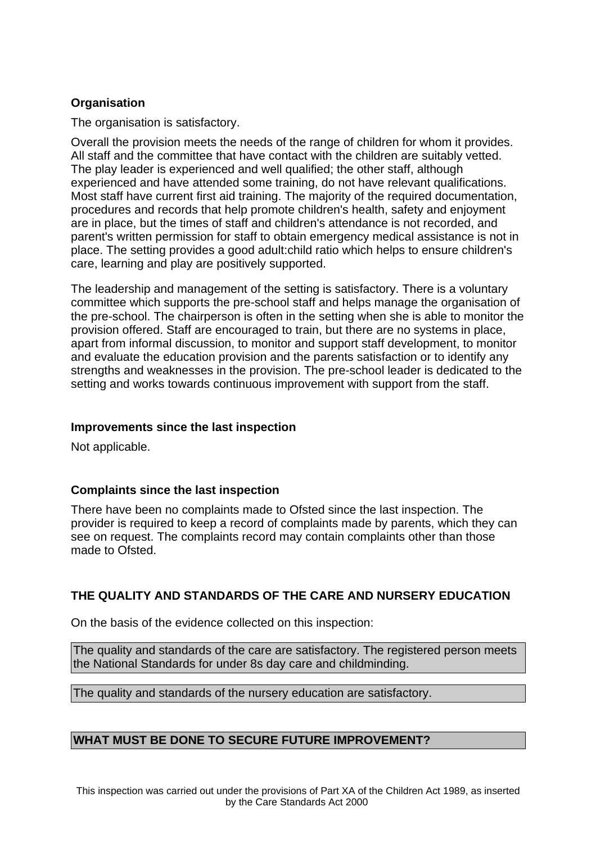# **Organisation**

The organisation is satisfactory.

Overall the provision meets the needs of the range of children for whom it provides. All staff and the committee that have contact with the children are suitably vetted. The play leader is experienced and well qualified; the other staff, although experienced and have attended some training, do not have relevant qualifications. Most staff have current first aid training. The majority of the required documentation, procedures and records that help promote children's health, safety and enjoyment are in place, but the times of staff and children's attendance is not recorded, and parent's written permission for staff to obtain emergency medical assistance is not in place. The setting provides a good adult:child ratio which helps to ensure children's care, learning and play are positively supported.

The leadership and management of the setting is satisfactory. There is a voluntary committee which supports the pre-school staff and helps manage the organisation of the pre-school. The chairperson is often in the setting when she is able to monitor the provision offered. Staff are encouraged to train, but there are no systems in place, apart from informal discussion, to monitor and support staff development, to monitor and evaluate the education provision and the parents satisfaction or to identify any strengths and weaknesses in the provision. The pre-school leader is dedicated to the setting and works towards continuous improvement with support from the staff.

## **Improvements since the last inspection**

Not applicable.

# **Complaints since the last inspection**

There have been no complaints made to Ofsted since the last inspection. The provider is required to keep a record of complaints made by parents, which they can see on request. The complaints record may contain complaints other than those made to Ofsted.

# **THE QUALITY AND STANDARDS OF THE CARE AND NURSERY EDUCATION**

On the basis of the evidence collected on this inspection:

The quality and standards of the care are satisfactory. The registered person meets the National Standards for under 8s day care and childminding.

The quality and standards of the nursery education are satisfactory.

## **WHAT MUST BE DONE TO SECURE FUTURE IMPROVEMENT?**